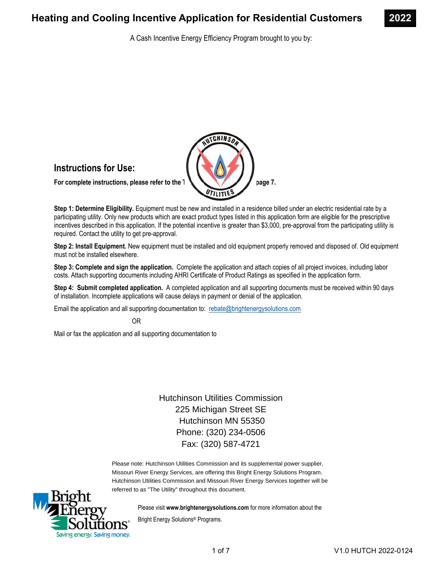A Cash Incentive Energy Efficiency Program brought to you by:



**Step 1: Determine Eligibility.** Equipment must be new and installed in a residence billed under an electric residential rate by a participating utility. Only new products which are exact product types listed in this application form are eligible for the prescriptive incentives described in this application. If the potential incentive is greater than \$3,000, pre-approval from the participating utility is required. Contact the utility to get pre-approval.

**Step 2: Install Equipment.** New equipment must be installed and old equipment properly removed and disposed of. Old equipment must not be installed elsewhere.

**Step 3: Complete and sign the application.** Complete the application and attach copies of all project invoices, including labor costs. Attach supporting documents including AHRI Certificate of Product Ratings as specified in the application form.

**Step 4: Submit completed application.** A completed application and all supporting documents must be received within 90 days of installation. Incomplete applications will cause delays in payment or denial of the application.

Email the application and all supporting documentation to: rebate@brightenergysolutions.com

OR

Mail or fax the application and all supporting documentation to

Hutchinson Utilities Commission 225 Michigan Street SE Hutchinson MN 55350 Phone: (320) 234-0506 Fax: (320) 587-4721

Please note: Hutchinson Utilities Commission and its supplemental power supplier, Missouri River Energy Services, are offering this Bright Energy Solutions Program. Hutchinson Utilities Commission and Missouri River Energy Services together will be referred to as "The Utility" throughout this document.



Please visit **www.brightenergysolutions.com** for more information about the

Bright Energy Solutions® Programs.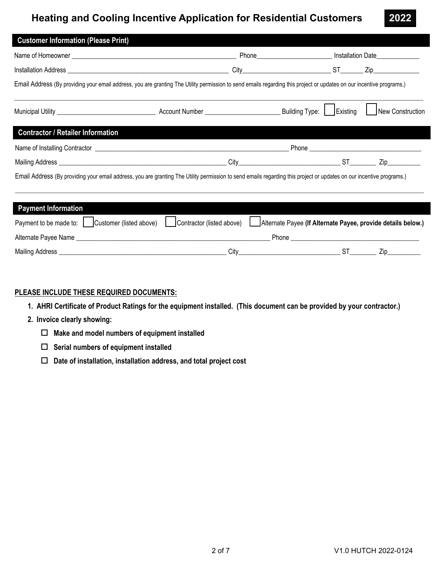|                                          |                                                                                                                                                                      | Phone____________________________ Installation Date______________________________ |          |                               |
|------------------------------------------|----------------------------------------------------------------------------------------------------------------------------------------------------------------------|-----------------------------------------------------------------------------------|----------|-------------------------------|
|                                          |                                                                                                                                                                      |                                                                                   |          |                               |
|                                          | Email Address (By providing your email address, you are granting The Utility permission to send emails regarding this project or updates on our incentive programs.) |                                                                                   |          |                               |
|                                          |                                                                                                                                                                      |                                                                                   | Existing | New Construction              |
| <b>Contractor / Retailer Information</b> |                                                                                                                                                                      |                                                                                   |          |                               |
|                                          |                                                                                                                                                                      |                                                                                   |          |                               |
|                                          |                                                                                                                                                                      | City ST                                                                           |          | $\mathsf{Zip}\_\_\_\_\_\_\_\$ |
|                                          | Email Address (By providing your email address, you are granting The Utility permission to send emails regarding this project or updates on our incentive programs.) |                                                                                   |          |                               |

| <b>Payment Information</b> |                         |                           |                                                              |     |
|----------------------------|-------------------------|---------------------------|--------------------------------------------------------------|-----|
| Payment to be made to: J   | Customer (listed above) | Contractor (listed above) | Alternate Payee (If Alternate Payee, provide details below.) |     |
| Alternate Payee Name       |                         |                           | Phone                                                        |     |
| Mailing Address            |                         | Citv                      |                                                              | /ın |

### **PLEASE INCLUDE THESE REQUIRED DOCUMENTS:**

- **1. AHRI Certificate of Product Ratings for the equipment installed. (This document can be provided by your contractor.)**
- **2. Invoice clearly showing:**
	- **Make and model numbers of equipment installed**
	- **Serial numbers of equipment installed**
	- **Date of installation, installation address, and total project cost**

**2022**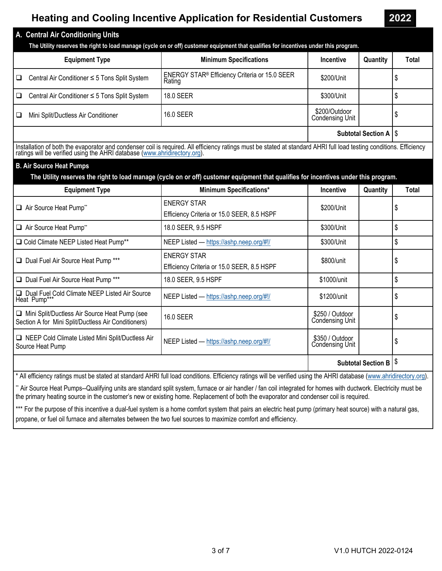**2022** 

|                                | A. Central Air Conditioning Units<br>The Utility reserves the right to load manage (cycle on or off) customer equipment that qualifies for incentives under this program. |                                                                     |                                  |          |       |  |  |  |
|--------------------------------|---------------------------------------------------------------------------------------------------------------------------------------------------------------------------|---------------------------------------------------------------------|----------------------------------|----------|-------|--|--|--|
|                                | <b>Equipment Type</b>                                                                                                                                                     | <b>Minimum Specifications</b>                                       | Incentive                        | Quantity | Total |  |  |  |
| l 0                            | Central Air Conditioner ≤ 5 Tons Split System                                                                                                                             | ENERGY STAR <sup>®</sup> Efficiency Criteria or 15.0 SEER<br>Rating | \$200/Unit                       |          | J     |  |  |  |
| l Q                            | Central Air Conditioner ≤ 5 Tons Split System                                                                                                                             | 18.0 SEER                                                           | \$300/Unit                       |          |       |  |  |  |
| l 0                            | Mini Split/Ductless Air Conditioner                                                                                                                                       | 16.0 SEER                                                           | \$200/Outdoor<br>Condensing Unit |          |       |  |  |  |
| <b>Subtotal Section A   \$</b> |                                                                                                                                                                           |                                                                     |                                  |          |       |  |  |  |

Installation of both the evaporator and condenser coil is required. All efficiency ratings must be stated at standard AHRI full load testing conditions. Efficiency ratings will be verified using the AHRI database (www.ahri

### **B. Air Source Heat Pumps**

 **The Utility reserves the right to load manage (cycle on or off) customer equipment that qualifies for incentives under this program.** 

| <b>Equipment Type</b>                                                                                | <b>Minimum Specifications*</b>                                   | <b>Incentive</b>                          | Quantity | Total |
|------------------------------------------------------------------------------------------------------|------------------------------------------------------------------|-------------------------------------------|----------|-------|
| Air Source Heat Pump**                                                                               | <b>ENERGY STAR</b><br>Efficiency Criteria or 15.0 SEER, 8.5 HSPF | \$200/Unit                                |          |       |
| Air Source Heat Pump**                                                                               | 18.0 SEER, 9.5 HSPF                                              | \$300/Unit                                |          | S     |
| Cold Climate NEEP Listed Heat Pump**                                                                 | NEEP Listed — https://ashp.neep.org/#!/                          | \$300/Unit                                |          | \$    |
| Dual Fuel Air Source Heat Pump ***                                                                   | <b>ENERGY STAR</b><br>Efficiency Criteria or 15.0 SEER, 8.5 HSPF | \$800/unit                                |          |       |
| Dual Fuel Air Source Heat Pump ***                                                                   | 18.0 SEER, 9.5 HSPF                                              | \$1000/unit                               |          | \$    |
| Dual Fuel Cold Climate NEEP Listed Air Source<br>Heat Pump***                                        | NEEP Listed - https://ashp.neep.org/#!/                          | \$1200/unit                               |          |       |
| Mini Split/Ductless Air Source Heat Pump (see<br>Section A for Mini Split/Ductless Air Conditioners) | 16.0 SEER                                                        | \$250 / Outdoor<br><b>Condensing Unit</b> |          | S     |
| □ NEEP Cold Climate Listed Mini Split/Ductless Air<br>Source Heat Pump                               | NEEP Listed — https://ashp.neep.org/#!/                          | \$350 / Outdoor<br>Condensing Unit        |          |       |
| <b>Subtotal Section B</b><br>Þ                                                                       |                                                                  |                                           |          |       |

All efficiency ratings must be stated at standard AHRI full load conditions. Efficiency ratings will be verified using the AHRI database (www.ahridirectory.org).

\*\* Air Source Heat Pumps--Qualifying units are standard split system, furnace or air handler / fan coil integrated for homes with ductwork. Electricity must be the primary heating source in the customer's new or existing home. Replacement of both the evaporator and condenser coil is required.

\*\*\* For the purpose of this incentive a dual-fuel system is a home comfort system that pairs an electric heat pump (primary heat source) with a natural gas, propane, or fuel oil furnace and alternates between the two fuel sources to maximize comfort and efficiency.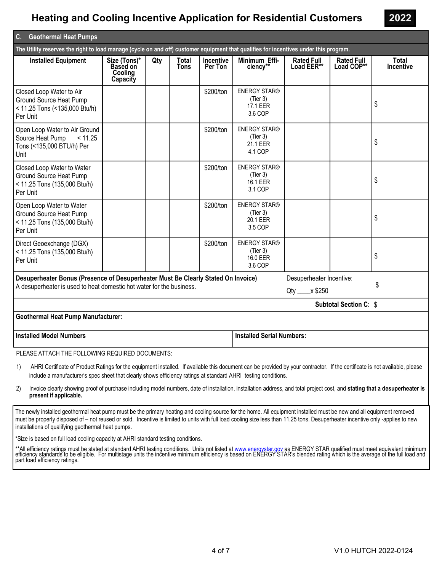| $\overline{\mathsf{C}}$ .<br><b>Geothermal Heat Pumps</b>                                                                                                                                                                                                                                                                                                                                                    |                                                        |     |                      |                      |                                                        |                                            |                                 |                    |
|--------------------------------------------------------------------------------------------------------------------------------------------------------------------------------------------------------------------------------------------------------------------------------------------------------------------------------------------------------------------------------------------------------------|--------------------------------------------------------|-----|----------------------|----------------------|--------------------------------------------------------|--------------------------------------------|---------------------------------|--------------------|
| The Utility reserves the right to load manage (cycle on and off) customer equipment that qualifies for incentives under this program.                                                                                                                                                                                                                                                                        |                                                        |     |                      |                      |                                                        |                                            |                                 |                    |
| <b>Installed Equipment</b>                                                                                                                                                                                                                                                                                                                                                                                   | Size (Tons)*<br><b>Based on</b><br>Cooling<br>Capacity | Qty | Total<br><b>Tons</b> | Incentive<br>Per Ton | Minimum Effi-<br>ciency**                              | <b>Rated Full</b><br>Load EER**            | <b>Rated Full</b><br>Load COP** | Total<br>Incentive |
| Closed Loop Water to Air<br>Ground Source Heat Pump<br>< 11.25 Tons (<135,000 Btu/h)<br>Per Unit                                                                                                                                                                                                                                                                                                             |                                                        |     |                      | \$200/ton            | <b>ENERGY STAR®</b><br>(Tier 3)<br>17.1 EER<br>3.6 COP |                                            |                                 | \$                 |
| Open Loop Water to Air Ground<br>Source Heat Pump<br>< 11.25<br>Tons (<135,000 BTU/h) Per<br>Unit                                                                                                                                                                                                                                                                                                            |                                                        |     |                      | \$200/ton            | <b>ENERGY STAR®</b><br>(Tier 3)<br>21.1 EER<br>4.1 COP |                                            |                                 | \$                 |
| Closed Loop Water to Water<br>Ground Source Heat Pump<br>< 11.25 Tons (135,000 Btu/h)<br>Per Unit                                                                                                                                                                                                                                                                                                            |                                                        |     |                      | \$200/ton            | <b>ENERGY STAR®</b><br>(Tier 3)<br>16.1 EER<br>3.1 COP |                                            |                                 | \$                 |
| Open Loop Water to Water<br>Ground Source Heat Pump<br>< 11.25 Tons (135,000 Btu/h)<br>Per Unit                                                                                                                                                                                                                                                                                                              |                                                        |     |                      | \$200/ton            | <b>ENERGY STAR®</b><br>(Tier 3)<br>20.1 EER<br>3.5 COP |                                            |                                 | \$                 |
| Direct Geoexchange (DGX)<br>< 11.25 Tons (135,000 Btu/h)<br>Per Unit                                                                                                                                                                                                                                                                                                                                         |                                                        |     |                      | \$200/ton            | <b>ENERGY STAR®</b><br>(Tier 3)<br>16.0 EER<br>3.6 COP |                                            |                                 | \$                 |
| Desuperheater Bonus (Presence of Desuperheater Must Be Clearly Stated On Invoice)<br>A desuperheater is used to heat domestic hot water for the business.                                                                                                                                                                                                                                                    |                                                        |     |                      |                      |                                                        | Desuperheater Incentive:<br>x \$250<br>Qty |                                 | \$                 |
|                                                                                                                                                                                                                                                                                                                                                                                                              |                                                        |     |                      |                      |                                                        |                                            | <b>Subtotal Section C: \$</b>   |                    |
| <b>Geothermal Heat Pump Manufacturer:</b>                                                                                                                                                                                                                                                                                                                                                                    |                                                        |     |                      |                      |                                                        |                                            |                                 |                    |
| <b>Installed Model Numbers</b>                                                                                                                                                                                                                                                                                                                                                                               |                                                        |     |                      |                      | <b>Installed Serial Numbers:</b>                       |                                            |                                 |                    |
| PLEASE ATTACH THE FOLLOWING REQUIRED DOCUMENTS:                                                                                                                                                                                                                                                                                                                                                              |                                                        |     |                      |                      |                                                        |                                            |                                 |                    |
| 1)<br>AHRI Certificate of Product Ratings for the equipment installed. If available this document can be provided by your contractor. If the certificate is not available, please<br>include a manufacturer's spec sheet that clearly shows efficiency ratings at standard AHRI testing conditions.                                                                                                          |                                                        |     |                      |                      |                                                        |                                            |                                 |                    |
| 2)<br>Invoice clearly showing proof of purchase including model numbers, date of installation, installation address, and total project cost, and stating that a desuperheater is<br>present if applicable.                                                                                                                                                                                                   |                                                        |     |                      |                      |                                                        |                                            |                                 |                    |
| The newly installed geothermal heat pump must be the primary heating and cooling source for the home. All equipment installed must be new and all equipment removed<br>must be properly disposed of - not reused or sold. Incentive is limited to units with full load cooling size less than 11.25 tons. Desuperheater incentive only -applies to new<br>installations of qualifying geothermal heat pumps. |                                                        |     |                      |                      |                                                        |                                            |                                 |                    |
| *Size is based on full load cooling capacity at AHRI standard testing conditions.                                                                                                                                                                                                                                                                                                                            |                                                        |     |                      |                      |                                                        |                                            |                                 |                    |
| **All efficiency ratings must be stated at standard AHRI testing conditions. Units not listed at www.energystar.gov as ENERGY STAR qualified must meet equivalent minimum<br>efficiency standards to be eligible. For multistage<br>part load efficiency ratings.                                                                                                                                            |                                                        |     |                      |                      |                                                        |                                            |                                 |                    |

**2022**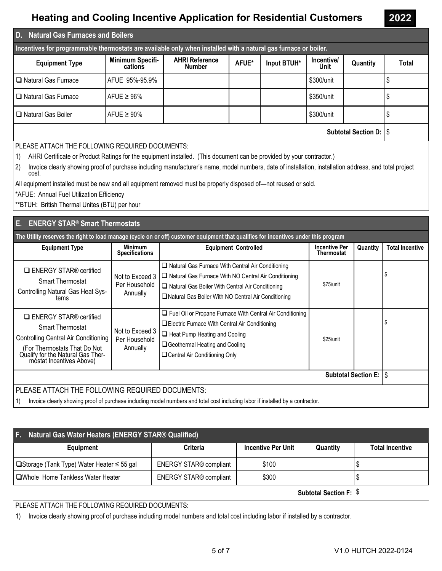2022

| <b>Natural Gas Furnaces and Boilers</b><br>$\mathbf{0}$                                                                                                              |                                   |                                        |       |             |                    |          |       |
|----------------------------------------------------------------------------------------------------------------------------------------------------------------------|-----------------------------------|----------------------------------------|-------|-------------|--------------------|----------|-------|
| Incentives for programmable thermostats are available only when installed with a natural gas furnace or boiler.                                                      |                                   |                                        |       |             |                    |          |       |
| <b>Equipment Type</b>                                                                                                                                                | Minimum Specifi-<br>cations       | <b>AHRI Reference</b><br><b>Number</b> | AFUE* | Input BTUH* | Incentive/<br>Unit | Quantity | Total |
| □ Natural Gas Furnace                                                                                                                                                | AFUE 95%-95.9%                    |                                        |       |             | \$300/unit         |          | S     |
| □ Natural Gas Furnace                                                                                                                                                | AFUE $\geq 96\%$                  |                                        |       |             | \$350/unit         |          | S     |
| Natural Gas Boiler                                                                                                                                                   | AFUE $\geq 90\%$                  |                                        |       |             | \$300/unit         |          |       |
|                                                                                                                                                                      | Subtotal Section D:   \$          |                                        |       |             |                    |          |       |
| PLEASE ATTACH THE FOLLOWING REQUIRED DOCUMENTS:                                                                                                                      |                                   |                                        |       |             |                    |          |       |
| AHRI Certificate or Product Ratings for the equipment installed. (This document can be provided by your contractor.)<br>1)                                           |                                   |                                        |       |             |                    |          |       |
| Invoice clearly showing proof of purchase including manufacturer's name, model numbers, date of installation, installation address, and total project<br>2)<br>cost. |                                   |                                        |       |             |                    |          |       |
| All equipment installed must be new and all equipment removed must be properly disposed of-not reused or sold.                                                       |                                   |                                        |       |             |                    |          |       |
| *AFUE: Annual Fuel Utilization Efficiency                                                                                                                            |                                   |                                        |       |             |                    |          |       |
| **BTUH: British Thermal Unites (BTU) per hour                                                                                                                        |                                   |                                        |       |             |                    |          |       |
|                                                                                                                                                                      | E. ENERGY STAR® Smart Thermostats |                                        |       |             |                    |          |       |

| The Utility reserves the right to load manage (cycle on or off) customer equipment that qualifies for incentives under this program |                                         |                             |                             |  |                            |  |  |
|-------------------------------------------------------------------------------------------------------------------------------------|-----------------------------------------|-----------------------------|-----------------------------|--|----------------------------|--|--|
| <b>Equipment Type</b>                                                                                                               | <b>Minimum</b><br><b>Specifications</b> | <b>Equipment Controlled</b> | Incentive Per<br>Thermostat |  | Quantity   Total Incentive |  |  |

| $\Box$ ENERGY STAR® certified<br><b>Smart Thermostat</b><br>Controlling Natural Gas Heat Sys-<br>tems                                                                                             | Not to Exceed 3<br>Per Household<br>Annually | $\Box$ Natural Gas Furnace With Central Air Conditioning<br>□ Natural Gas Furnace With NO Central Air Conditioning<br>Natural Gas Boiler With Central Air Conditioning<br>□ Natural Gas Boiler With NO Central Air Conditioning | $$75/$ unit |  |  |
|---------------------------------------------------------------------------------------------------------------------------------------------------------------------------------------------------|----------------------------------------------|---------------------------------------------------------------------------------------------------------------------------------------------------------------------------------------------------------------------------------|-------------|--|--|
| $\Box$ ENERGY STAR® certified<br><b>Smart Thermostat</b><br>Controlling Central Air Conditioning<br>(For Thermostats That Do Not<br>Qualify for the Natural Gas Ther-<br>móstat Incentives Above) | Not to Exceed 3<br>Per Household<br>Annually | $\Box$ Fuel Oil or Propane Furnace With Central Air Conditioning<br>□Electric Furnace With Central Air Conditioning<br>Heat Pump Heating and Cooling<br>□Geothermal Heating and Cooling<br>□ Central Air Conditioning Only      | $$25/$ unit |  |  |
| <b>Subtotal Section E: IS</b>                                                                                                                                                                     |                                              |                                                                                                                                                                                                                                 |             |  |  |
| PLEASE ATTACH THE FOLLOWING REQUIRED DOCUMENTS:                                                                                                                                                   |                                              |                                                                                                                                                                                                                                 |             |  |  |
| 11                                                                                                                                                                                                |                                              | loveigo electrical proportion and of purchase including model pumbers and total cost including labor if installed by a contractor                                                                                               |             |  |  |

1) Invoice clearly showing proof of purchase including model numbers and total cost including labor if installed by a contractor.

| F. Natural Gas Water Heaters (ENERGY STAR® Qualified) |                               |                           |          |                        |  |  |  |
|-------------------------------------------------------|-------------------------------|---------------------------|----------|------------------------|--|--|--|
| Equipment                                             | Criteria                      | <b>Incentive Per Unit</b> | Quantity | <b>Total Incentive</b> |  |  |  |
| □ Storage (Tank Type) Water Heater ≤ 55 gal           | <b>ENERGY STAR® compliant</b> | \$100                     |          |                        |  |  |  |
| □Whole Home Tankless Water Heater                     | <b>ENERGY STAR® compliant</b> | \$300                     |          |                        |  |  |  |
|                                                       |                               |                           |          |                        |  |  |  |

Subtotal Section F: \$

### PLEASE ATTACH THE FOLLOWING REQUIRED DOCUMENTS:

1) Invoice clearly showing proof of purchase including model numbers and total cost including labor if installed by a contractor.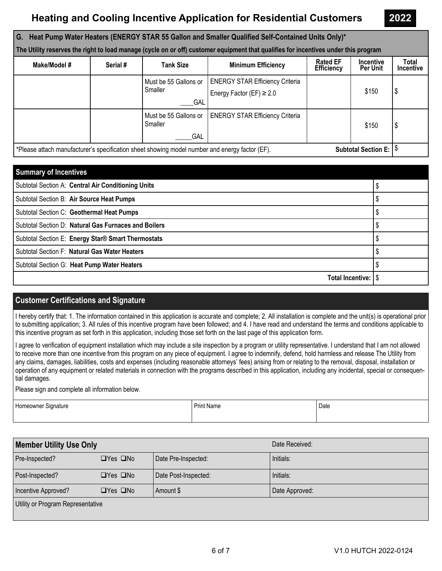**2022** 

| G. Heat Pump Water Heaters (ENERGY STAR 55 Gallon and Smaller Qualified Self-Contained Units Only)*<br>The Utility reserves the right to load manage (cycle on or off) customer equipment that qualifies for incentives under this program |          |                                                |                                                                         |                                      |                              |                    |  |
|--------------------------------------------------------------------------------------------------------------------------------------------------------------------------------------------------------------------------------------------|----------|------------------------------------------------|-------------------------------------------------------------------------|--------------------------------------|------------------------------|--------------------|--|
| Make/Model #                                                                                                                                                                                                                               | Serial # | <b>Tank Size</b>                               | <b>Minimum Efficiency</b>                                               | <b>Rated EF</b><br><b>Efficiency</b> | <b>Incentive</b><br>Per Unit | Total<br>Incentive |  |
|                                                                                                                                                                                                                                            |          | Must be 55 Gallons or<br>Smaller<br>GAL        | <b>ENERGY STAR Efficiency Criteria</b><br>Energy Factor (EF) $\geq 2.0$ |                                      | \$150                        | \$                 |  |
|                                                                                                                                                                                                                                            |          | Must be 55 Gallons or<br>Smaller<br><b>GAL</b> | <b>ENERGY STAR Efficiency Criteria</b>                                  |                                      | \$150                        | \$                 |  |
| Subtotal Section E: $\sqrt[5]{ }$<br>*Please attach manufacturer's specification sheet showing model number and energy factor (EF).                                                                                                        |          |                                                |                                                                         |                                      |                              |                    |  |

| <b>Summary of Incentives</b>                         |  |
|------------------------------------------------------|--|
| Subtotal Section A: Central Air Conditioning Units   |  |
| Subtotal Section B: Air Source Heat Pumps            |  |
| Subtotal Section C: Geothermal Heat Pumps            |  |
| Subtotal Section D: Natural Gas Furnaces and Boilers |  |
| Subtotal Section E: Energy Star® Smart Thermostats   |  |
| Subtotal Section F: Natural Gas Water Heaters        |  |
| Subtotal Section G: Heat Pump Water Heaters          |  |
|                                                      |  |

### **Customer Certifications and Signature**

I hereby certify that: 1. The information contained in this application is accurate and complete; 2. All installation is complete and the unit(s) is operational prior to submitting application; 3. All rules of this incentive program have been followed; and 4. I have read and understand the terms and conditions applicable to this incentive program as set forth in this application, including those set forth on the last page of this application form.

I agree to verification of equipment installation which may include a site inspection by a program or utility representative. I understand that I am not allowed to receive more than one incentive from this program on any piece of equipment. I agree to indemnify, defend, hold harmless and release The Utility from any claims, damages, liabilities, costs and expenses (including reasonable attorneys' fees) arising from or relating to the removal, disposal, installation or operation of any equipment or related materials in connection with the programs described in this application, including any incidental, special or consequential damages.

Please sign and complete all information below.

| Homeowner Signature | <b>Print Name</b> | Date |
|---------------------|-------------------|------|
|                     |                   |      |

| <b>Member Utility Use Only</b>    |                      |                      | Date Received: |
|-----------------------------------|----------------------|----------------------|----------------|
| Pre-Inspected?                    | $\Box$ Yes $\Box$ No | Date Pre-Inspected:  | Initials:      |
| Post-Inspected?                   | $\Box$ Yes $\Box$ No | Date Post-Inspected: | Initials:      |
| Incentive Approved?               | $\Box$ Yes $\Box$ No | Amount \$            | Date Approved: |
| Utility or Program Representative |                      |                      |                |